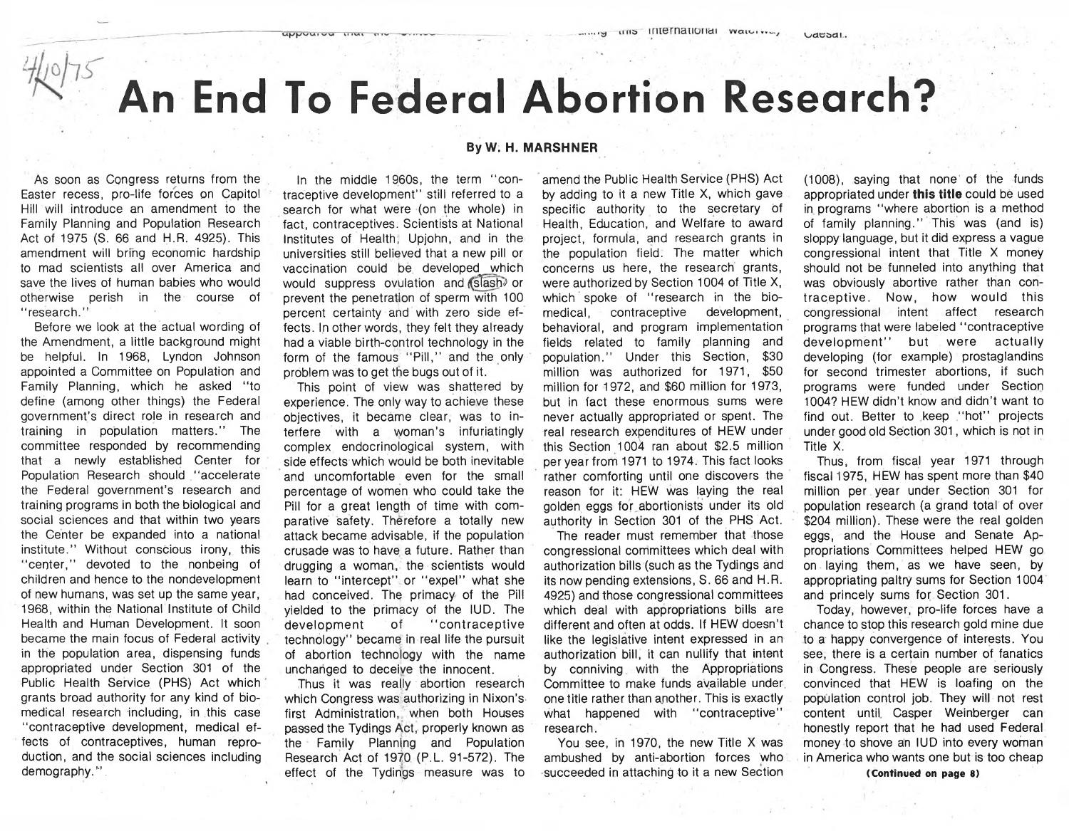# **An End To Federal Abortion Research?**

By W. H. MARSHNER

As soon as Congress returns from the Easter recess, pro-life forces on Capitol Hill will introduce an amendment to the Family Planning and Population Research Act of 1975 (S. 66 and H.R. 4925). This amendment will bring economic hardship to mad scientists all over America and save the lives of human babies who would otherwise perish in the course of " research."

Before we look at the actual wording of the Amendment, a little background might be helpful. In 1968, Lyndon Johnson appointed a Committee on Population and Family Planning, which he asked "to define (among other things) the Federal government's direct role in research and training in population matters." The committee responded by recommending that a newly established Center for Population Research should "accelerate the Federal government's research and training programs in both the biological and social sciences and that within two years the Center be expanded into a national institute." Without conscious irony, this " center," devoted to the nonbeing of children and hence to the nondevelopment of new humans, was set up the same year, 1968, within the National Institute of Child Health and Human Development. It soon became the main focus of Federal activity in the population area, dispensing funds appropriated under Section 301 of the Public Health Service (PHS) Act which grants broad authority for any kind of biomedical research including, in this case " contraceptive development, medical effects of contraceptives, human reproduction, and the social sciences including demography."

In the middle 1960s, the term "contraceptive development" still referred to a search for what were (on the whole) in fact, contraceptives. Scientists at National Institutes of Health, Upjohn, and in the universities still believed that a new pill or vaccination could be. developed which would suppress ovulation and slash or prevent the penetration of sperm with 100 percent certainty and with zero side effects. In other words, they felt they already had a viable birth-control technology in the form of the famous "Pill," and the only problem was to get the bugs out of it.

appoured that the

This point of view was shattered by experience. The only way to achieve these objectives, it became clear, was to interfere with a woman's infuriatingly complex endocrinological system, with side effects which would be both inevitable and uncomfortable even for the small percentage of women who could take the Pill for a great length of time with comparative safety. Therefore a totally new attack became advisable, if the population crusade was to have a future. Rather than drugging a woman, the scientists would learn to "intercept" or "expel" what she had conceived. The primacy of the Pill yielded to the primacy of the IUD. The development of "contraceptive technology" became in real life the pursuit of abortion technology with the name unchanged to deceive the innocent.

Thus it was really abortion research which Congress was authorizing in Nixon's first Administration, when both Houses passed the Tydings Act, properly known as the Family Planning and Population Research Act of 1970 (P.L. 91-572). The effect of the Tydings measure was to

### amend the Public Health Service (PHS) Act by adding to it a new Title X, which gave specific authority to the secretary of Health, Education, and Welfare to award project, formula, and research grants in the population field. The matter which concerns us here, the research grants, were authorized by Section 1004 of Title X, which spoke of "research in the biomedical, contraceptive development, behavioral, and program implementation fields related to family planning and population." Under this Section, \$30 million was authorized for 1971, \$50 million for 1972, and \$60 million for 1973, but in fact these enormous sums were never actually appropriated or spent. The real research expenditures of HEW under this Section 1004 ran about \$2.5 million per year from 1971 to 1974. This fact looks rather comforting until one discovers the reason for it: HEW was laying the real golden eggs for abortionists under its old authority in Section 301 of the PHS Act.

The reader must remember that those congressional committees which deal with authorization bills (such as the Tydings and its now pending extensions, S. 66 and H.R. 4925) and those congressional committees which deal with appropriations bills are different and often at odds. If HEW doesn't like the legislative intent expressed in an authorization bill, it can nullify that intent by conniving with the Appropriations Committee to make funds available under one title rather than another. This is exactly what happened with "contraceptive" research.

You see, in 1970, the new Title X was ambushed by anti-abortion forces who succeeded in attaching to it a new Section (1008), saying that none of the funds appropriated under **this title** could be used in programs " where abortion is a method of family planning." This was (and is) sloppy language, but it did express a vague congressional intent that Title X money should not be tunneled into anything that was obviously abortive rather than contraceptive. Now, how would this congressional intent affect research programs that were labeled "contraceptive development" but were actually developing (for example) prostaglandins for second trimester abortions, if such programs were funded under Section 1004? HEW didn't know and didn't want to find out. Better to keep "hot" projects under good old Section 301, which is not in Title X.

Thus, from fiscal year 1971 through fiscal 1975, HEW has spent more than \$40 million per year under Section 301 for population research (a grand total of over \$204 million). These were the real golden eggs, and the House and Senate Appropriations Committees helped HEW go on laying them, as we have seen, by appropriating paltry sums for Section 1004 and princely sums for Section 301.

Today, however, pro-life forces have a chance to stop this research gold mine due to a happy convergence of interests. You see, there is a certain number of fanatics in Congress. These people are seriously convinced that HEW is loafing on the population control job. They will not rest content until Casper Weinberger can honestly report that he had used Federal money to shove an IUD into every woman in America who wants one but is too cheap

(Continued on page 8)